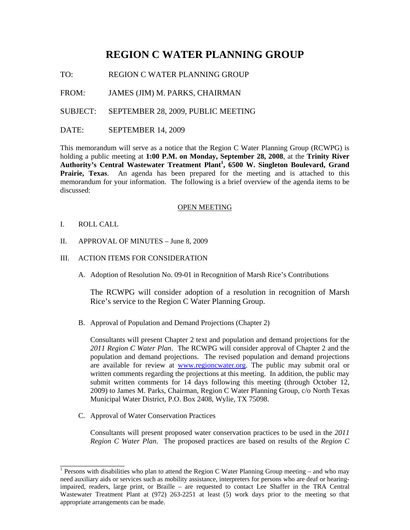# **REGION C WATER PLANNING GROUP**

TO: REGION C WATER PLANNING GROUP

FROM: JAMES (JIM) M. PARKS, CHAIRMAN

SUBJECT: SEPTEMBER 28, 2009, PUBLIC MEETING

DATE: SEPTEMBER 14, 2009

This memorandum will serve as a notice that the Region C Water Planning Group (RCWPG) is holding a public meeting at **1:00 P.M. on Monday, September 28, 2008**, at the **Trinity River Authority's Central Wastewater Treatment Plant<sup>1</sup> , 6500 W. Singleton Boulevard, Grand Prairie, Texas**. An agenda has been prepared for the meeting and is attached to this memorandum for your information. The following is a brief overview of the agenda items to be discussed:

### OPEN MEETING

I. ROLL CALL

\_\_\_\_\_\_\_\_\_\_\_\_\_\_\_\_

- II. APPROVAL OF MINUTES June 8, 2009
- III. ACTION ITEMS FOR CONSIDERATION
	- A. Adoption of Resolution No. 09-01 in Recognition of Marsh Rice's Contributions

The RCWPG will consider adoption of a resolution in recognition of Marsh Rice's service to the Region C Water Planning Group.

B. Approval of Population and Demand Projections (Chapter 2)

Consultants will present Chapter 2 text and population and demand projections for the *2011 Region C Water Plan*. The RCWPG will consider approval of Chapter 2 and the population and demand projections. The revised population and demand projections are available for review at www.regioncwater.org. The public may submit oral or written comments regarding the projections at this meeting. In addition, the public may submit written comments for 14 days following this meeting (through October 12, 2009) to James M. Parks, Chairman, Region C Water Planning Group, c/o North Texas Municipal Water District, P.O. Box 2408, Wylie, TX 75098.

C. Approval of Water Conservation Practices

Consultants will present proposed water conservation practices to be used in the *2011 Region C Water Plan*. The proposed practices are based on results of the *Region C* 

<sup>&</sup>lt;sup>1</sup> Persons with disabilities who plan to attend the Region C Water Planning Group meeting – and who may need auxiliary aids or services such as mobility assistance, interpreters for persons who are deaf or hearingimpaired, readers, large print, or Braille – are requested to contact Lee Shaffer in the TRA Central Wastewater Treatment Plant at (972) 263-2251 at least (5) work days prior to the meeting so that appropriate arrangements can be made.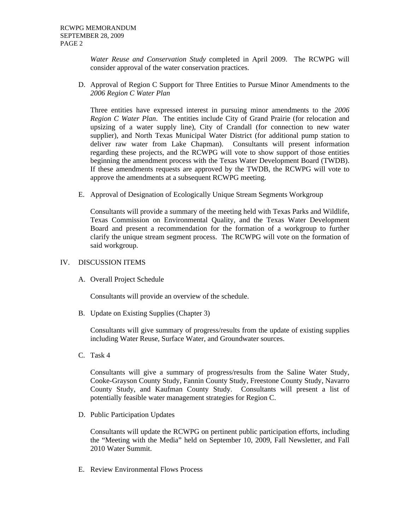*Water Reuse and Conservation Study* completed in April 2009. The RCWPG will consider approval of the water conservation practices.

D. Approval of Region C Support for Three Entities to Pursue Minor Amendments to the *2006 Region C Water Plan*

Three entities have expressed interest in pursuing minor amendments to the *2006 Region C Water Plan*. The entities include City of Grand Prairie (for relocation and upsizing of a water supply line), City of Crandall (for connection to new water supplier), and North Texas Municipal Water District (for additional pump station to deliver raw water from Lake Chapman). Consultants will present information regarding these projects, and the RCWPG will vote to show support of those entities beginning the amendment process with the Texas Water Development Board (TWDB). If these amendments requests are approved by the TWDB, the RCWPG will vote to approve the amendments at a subsequent RCWPG meeting.

E. Approval of Designation of Ecologically Unique Stream Segments Workgroup

Consultants will provide a summary of the meeting held with Texas Parks and Wildlife, Texas Commission on Environmental Quality, and the Texas Water Development Board and present a recommendation for the formation of a workgroup to further clarify the unique stream segment process. The RCWPG will vote on the formation of said workgroup.

## IV. DISCUSSION ITEMS

A. Overall Project Schedule

Consultants will provide an overview of the schedule.

B. Update on Existing Supplies (Chapter 3)

Consultants will give summary of progress/results from the update of existing supplies including Water Reuse, Surface Water, and Groundwater sources.

C. Task 4

Consultants will give a summary of progress/results from the Saline Water Study, Cooke-Grayson County Study, Fannin County Study, Freestone County Study, Navarro County Study, and Kaufman County Study. Consultants will present a list of potentially feasible water management strategies for Region C.

D. Public Participation Updates

Consultants will update the RCWPG on pertinent public participation efforts, including the "Meeting with the Media" held on September 10, 2009, Fall Newsletter, and Fall 2010 Water Summit.

E. Review Environmental Flows Process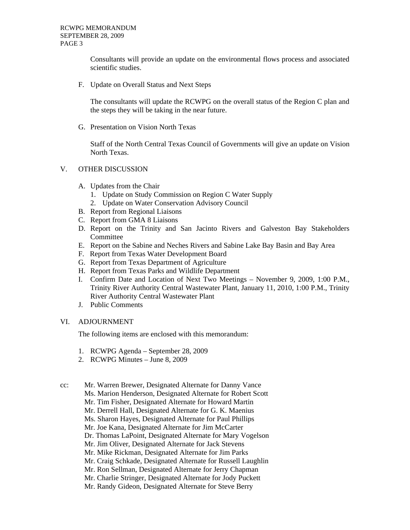Consultants will provide an update on the environmental flows process and associated scientific studies.

F. Update on Overall Status and Next Steps

The consultants will update the RCWPG on the overall status of the Region C plan and the steps they will be taking in the near future.

G. Presentation on Vision North Texas

Staff of the North Central Texas Council of Governments will give an update on Vision North Texas.

## V. OTHER DISCUSSION

- A. Updates from the Chair
	- 1. Update on Study Commission on Region C Water Supply
	- 2. Update on Water Conservation Advisory Council
- B. Report from Regional Liaisons
- C. Report from GMA 8 Liaisons
- D. Report on the Trinity and San Jacinto Rivers and Galveston Bay Stakeholders **Committee**
- E. Report on the Sabine and Neches Rivers and Sabine Lake Bay Basin and Bay Area
- F. Report from Texas Water Development Board
- G. Report from Texas Department of Agriculture
- H. Report from Texas Parks and Wildlife Department
- I. Confirm Date and Location of Next Two Meetings November 9, 2009, 1:00 P.M., Trinity River Authority Central Wastewater Plant, January 11, 2010, 1:00 P.M., Trinity River Authority Central Wastewater Plant
- J. Public Comments

### VI. ADJOURNMENT

The following items are enclosed with this memorandum:

- 1. RCWPG Agenda September 28, 2009
- 2. RCWPG Minutes June 8, 2009

cc: Mr. Warren Brewer, Designated Alternate for Danny Vance

- Ms. Marion Henderson, Designated Alternate for Robert Scott
- Mr. Tim Fisher, Designated Alternate for Howard Martin
- Mr. Derrell Hall, Designated Alternate for G. K. Maenius
- Ms. Sharon Hayes, Designated Alternate for Paul Phillips
- Mr. Joe Kana, Designated Alternate for Jim McCarter
- Dr. Thomas LaPoint, Designated Alternate for Mary Vogelson
- Mr. Jim Oliver, Designated Alternate for Jack Stevens
- Mr. Mike Rickman, Designated Alternate for Jim Parks
- Mr. Craig Schkade, Designated Alternate for Russell Laughlin
- Mr. Ron Sellman, Designated Alternate for Jerry Chapman
- Mr. Charlie Stringer, Designated Alternate for Jody Puckett
- Mr. Randy Gideon, Designated Alternate for Steve Berry